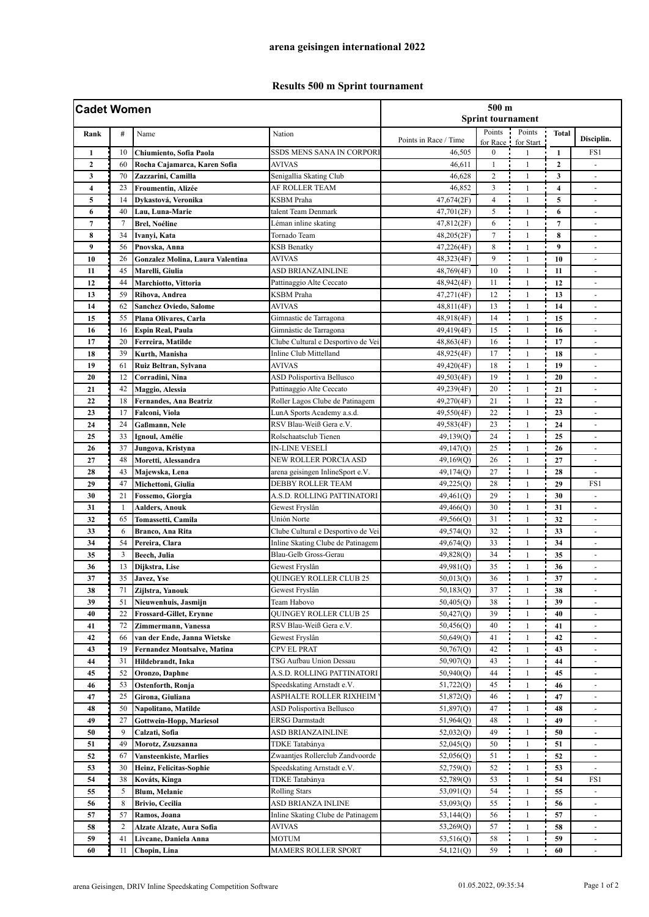## **Results 500 m Sprint tournament**

| <b>Cadet Women</b>      |                |                                    |                                    | 500 m<br><b>Sprint tournament</b> |                |                    |                  |                          |  |
|-------------------------|----------------|------------------------------------|------------------------------------|-----------------------------------|----------------|--------------------|------------------|--------------------------|--|
| Rank                    | #              | Name                               | Nation                             | Points in Race / Time             | Points         | Points             | <b>Total</b>     | Disciplin.               |  |
| $\mathbf{1}$            | 10             | Chiumiento, Sofia Paola            | SSDS MENS SANA IN CORPORI          | 46,505                            | $\overline{0}$ | for Race for Start | $\mathbf{1}$     | FS1                      |  |
| $\mathbf{2}$            | 60             | Rocha Cajamarca, Karen Sofia       | AVIVAS                             | 46,611                            | $\mathbf{1}$   | $\mathbf{1}$       | $\boldsymbol{2}$ |                          |  |
| 3                       | 70             | Zazzarini, Camilla                 | Senigallia Skating Club            | 46,628                            | $\overline{c}$ | $\mathbf{1}$       | 3                | $\blacksquare$           |  |
| $\overline{\mathbf{4}}$ | 23             | Froumentin, Alizée                 | AF ROLLER TEAM                     | 46,852                            | 3              | $\mathbf{1}$       | 4                | $\blacksquare$           |  |
| 5                       | 14             | Dykastová, Veronika                | <b>KSBM</b> Praha                  | 47,674(2F)                        | $\overline{4}$ | $\mathbf{1}$       | 5                | $\frac{1}{2}$            |  |
| 6                       | 40             | Lau, Luna-Marie                    | talent Team Denmark                | 47,701(2F)                        | 5              | $\mathbf{1}$       | 6                | $\overline{\phantom{a}}$ |  |
| $\overline{7}$          | $\overline{7}$ | <b>Brel, Noéline</b>               | Léman inline skating               | 47,812(2F)                        | 6              | $\mathbf{1}$       | $\overline{7}$   | $\blacksquare$           |  |
| 8                       | 34             | Ivanyi, Kata                       | Tornado Team                       | 48,205(2F)                        | $\overline{7}$ | $\mathbf{1}$       | 8                | ٠                        |  |
| 9                       | 56             | Pnovska, Anna                      | <b>KSB Benatky</b>                 | 47,226(4F)                        | 8              | $\mathbf{1}$       | 9                |                          |  |
| 10                      | 26             | Gonzalez Molina, Laura Valentina   | <b>AVIVAS</b>                      | 48,323(4F)                        | 9              | $\mathbf{1}$       | 10               | ÷.                       |  |
| 11                      | 45             | Marelli, Giulia                    | ASD BRIANZAINLINE                  | 48,769(4F)                        | 10             | $\mathbf{1}$       | 11               | $\overline{\phantom{a}}$ |  |
| 12                      | 44             | Marchiotto, Vittoria               | Pattinaggio Alte Ceccato           | 48,942(4F)                        | 11             | $\mathbf{1}$       | 12               | $\overline{\phantom{a}}$ |  |
| 13                      | 59             | Rihova, Andrea                     | KSBM Praha                         | 47,271(4F)                        | 12             | $\mathbf{1}$       | 13               | ä,                       |  |
| 14                      | 62             | <b>Sanchez Oviedo, Salome</b>      | <b>AVIVAS</b>                      | 48,811(4F)                        | 13             | $\mathbf{1}$       | 14               | $\blacksquare$           |  |
| 15                      | 55             | Plana Olivares, Carla              | Gimnastic de Tarragona             | 48,918(4F)                        | 14             | $\mathbf{1}$       | 15               | $\blacksquare$           |  |
| 16                      | 16             | <b>Espin Real, Paula</b>           | Gimnàstic de Tarragona             | 49,419(4F)                        | 15             | $\mathbf{1}$       | 16               | ٠                        |  |
| 17                      | 20             | Ferreira, Matilde                  | Clube Cultural e Desportivo de Vei | 48,863(4F)                        | 16             | $\mathbf{1}$       | 17               |                          |  |
| 18                      | 39             | Kurth, Manisha                     | Inline Club Mittelland             | 48,925(4F)                        | 17             | $\mathbf{1}$       | 18               | ä,                       |  |
| 19                      | 61             | Ruiz Beltran, Sylvana              | <b>AVIVAS</b>                      | 49,420(4F)                        | 18             | $\mathbf{1}$       | 19               | ä,                       |  |
| 20                      | 12             | Corradini, Nina                    | ASD Polisportiva Bellusco          | 49,503(4F)                        | 19             | $\mathbf{1}$       | 20               |                          |  |
| 21                      | 42             | Maggio, Alessia                    | Pattinaggio Alte Ceccato           | 49,239(4F)                        | 20             | $\mathbf{1}$       | 21               | ٠                        |  |
| 22                      | 18             | Fernandes, Ana Beatriz             | Roller Lagos Clube de Patinagem    | 49,270(4F)                        | 21             | $\mathbf{1}$       | 22               | $\overline{\phantom{a}}$ |  |
| 23                      | 17             | Falconi, Viola                     | LunA Sports Academy a.s.d.         | 49,550(4F)                        | 22             | $\mathbf{1}$       | 23               |                          |  |
| 24                      | 24             | Gaßmann, Nele                      | RSV Blau-Weiß Gera e.V.            | 49,583(4F)                        | 23             | $\mathbf{1}$       | 24               | $\blacksquare$           |  |
| 25                      | 33             | Ignoul, Amélie                     | Rolschaatsclub Tienen              | 49,139(Q)                         | 24             | $\mathbf{1}$       | 25               | $\overline{a}$           |  |
| 26                      | 37             | Jungova, Kristyna                  | IN-LINE VESELÍ                     | 49,147(Q)                         | 25             | $\mathbf{1}$       | 26               | $\blacksquare$           |  |
| 27                      | 48             | Moretti, Alessandra                | NEW ROLLER PORCIA ASD              | 49,169(Q)                         | 26             | $\mathbf{1}$       | 27               | $\overline{\phantom{a}}$ |  |
| 28                      | 43             | Majewska, Lena                     | arena geisingen InlineSport e.V.   | 49,174(Q)                         | 27             | $\mathbf{1}$       | 28               |                          |  |
| 29                      | 47             | Michettoni, Giulia                 | DEBBY ROLLER TEAM                  | 49,225(Q)                         | 28             | $\mathbf{1}$       | 29               | FS1                      |  |
| 30                      | 21             | Fossemo, Giorgia                   | A.S.D. ROLLING PATTINATORI         | 49,461(Q)                         | 29             | $\mathbf{1}$       | 30               |                          |  |
| 31                      | -1             | <b>Aalders, Anouk</b>              | Gewest Fryslân                     | 49,466(Q)                         | 30             | $\mathbf{1}$       | 31               | ÷.                       |  |
| 32                      | 65             | Tomassetti, Camila                 | Unión Norte                        | 49,566(Q)                         | 31             | $\mathbf{1}$       | 32               | $\overline{\phantom{a}}$ |  |
| 33                      | 6              | Branco, Ana Rita                   | Clube Cultural e Desportivo de Vei | 49,574(Q)                         | 32             | $\mathbf{1}$       | 33               | ٠                        |  |
| 34                      | 54             | Pereira, Clara                     | Inline Skating Clube de Patinagem  | 49,674(Q)                         | 33             | $\mathbf{1}$       | 34               | $\overline{a}$           |  |
| 35                      | 3              | Beech, Julia                       | Blau-Gelb Gross-Gerau              | 49,828(Q)                         | 34             | $\mathbf{1}$       | 35               | $\frac{1}{2}$            |  |
| 36                      | 13             | Dijkstra, Lise                     | Gewest Fryslân                     | 49,981(Q)                         | 35             | $\mathbf{1}$       | 36               |                          |  |
| 37                      | 35             | Javez, Yse                         | QUINGEY ROLLER CLUB 25             | 50,013(Q)                         | 36             |                    | 37               | $\blacksquare$           |  |
| 38                      | 71             | Zijlstra, Yanouk                   | Gewest Fryslân                     | 50,183(Q)                         | 37             | $\mathbf{1}$       | 38               | ۰                        |  |
| 39                      | 51             | Nieuwenhuis, Jasmijn               | Team Habovo                        | 50,405(Q)                         | 38             | 1                  | 39               |                          |  |
| 40                      | 22             | <b>Frossard-Gillet, Erynne</b>     | <b>QUINGEY ROLLER CLUB 25</b>      | 50,427(Q)                         | 39             | $\mathbf{1}$       | 40               |                          |  |
| 41                      | 72             | Zimmermann, Vanessa                | RSV Blau-Weiß Gera e.V.            | 50,456(Q)                         | 40             | $\mathbf{1}$       | 41               |                          |  |
| 42                      | 66             | van der Ende, Janna Wietske        | Gewest Fryslân                     | 50,649(Q)                         | 41             | $\mathbf{1}$       | 42               | $\overline{\phantom{a}}$ |  |
| 43                      | 19             | <b>Fernandez Montsalve, Matina</b> | CPV EL PRAT                        | 50,767(Q)                         | 42             | 1                  | 43               | $\overline{\phantom{a}}$ |  |
| 44                      | 31             | Hildebrandt, Inka                  | TSG Aufbau Union Dessau            | 50,907(Q)                         | 43             | $\mathbf{1}$       | 44               |                          |  |
| 45                      | 52             | Oronzo, Daphne                     | A.S.D. ROLLING PATTINATORI         | 50,940(Q)                         | 44             | $\mathbf{1}$       | 45               |                          |  |
| 46                      | 53             | Ostenforth, Ronja                  | Speedskating Arnstadt e.V.         | 51,722(Q)                         | 45             | $\mathbf{1}$       | 46               | $\overline{\phantom{a}}$ |  |
| 47                      | 25             | Girona, Giuliana                   | ASPHALTE ROLLER RIXHEIM            | 51,872(Q)                         | 46             | $\mathbf{1}$       | 47               | $\overline{\phantom{a}}$ |  |
| 48                      | 50             | Napolitano, Matilde                | ASD Polisportiva Bellusco          | 51,897(Q)                         | 47             | $\mathbf{1}$       | 48               | $\blacksquare$           |  |
| 49                      | 27             | Gottwein-Hopp, Mariesol            | <b>ERSG Darmstadt</b>              | 51,964(Q)                         | 48             | $\mathbf{1}$       | 49               | $\overline{\phantom{a}}$ |  |
| 50                      | 9              | Calzati, Sofia                     | ASD BRIANZAINLINE                  | 52,032(Q)                         | 49             | $\mathbf{1}$       | 50               | $\blacksquare$           |  |
| 51                      | 49             | Morotz, Zsuzsanna                  | TDKE Tatabánya                     | 52,045(Q)                         | 50             | $\mathbf{1}$       | 51               |                          |  |
| 52                      | 67             | <b>Vansteenkiste, Marlies</b>      | Zwaantjes Rollerclub Zandvoorde    | 52,056(Q)                         | 51             | $\mathbf{1}$       | 52               | $\overline{\phantom{a}}$ |  |
| 53                      | 30             | Heinz, Felicitas-Sophie            | Speedskating Arnstadt e.V.         | 52,759(Q)                         | 52             | 1                  | 53               | $\overline{\phantom{a}}$ |  |
| 54                      | 38             | Kováts, Kinga                      | TDKE Tatabánya                     | 52,789(Q)                         | 53             | 1                  | 54               | FS1                      |  |
| 55                      | 5              | <b>Blum, Melanie</b>               | <b>Rolling Stars</b>               | 53,091(Q)                         | 54             | $\mathbf{1}$       | 55               |                          |  |
| 56                      | 8              | Brivio, Cecilia                    | ASD BRIANZA INLINE                 | 53,093(Q)                         | 55             | $\mathbf{1}$       | 56               |                          |  |
| 57                      | 57             | Ramos, Joana                       | Inline Skating Clube de Patinagem  | 53,144(Q)                         | 56             | $\mathbf{1}$       | 57               |                          |  |
| 58                      | $\overline{c}$ | <b>Alzate Alzate, Aura Sofia</b>   | AVIVAS                             | 53,269(Q)                         | 57             | $\mathbf{1}$       | 58               | $\overline{\phantom{a}}$ |  |
| 59                      | 41             | Livcane, Daniela Anna              | <b>MOTUM</b>                       | 53,516(Q)                         | 58             | 1                  | 59               | $\blacksquare$           |  |
| 60                      | 11             | Chopin, Lina                       | <b>MAMERS ROLLER SPORT</b>         | 54,121(Q)                         | 59             | $\mathbf{1}$       | 60               | $\frac{1}{2}$            |  |